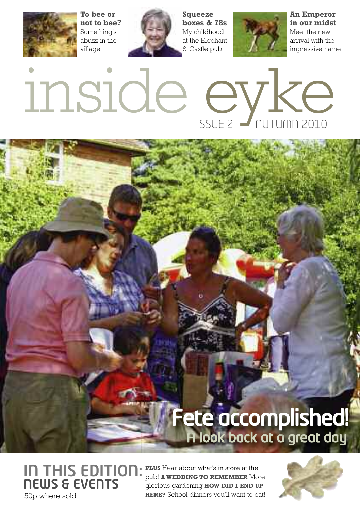**To bee or not to bee?** Something's abuzz in the village!



**Squeeze boxes & 78s** My childhood at the Elephant & Castle pub



**An Emperor in our midst** Meet the new arrival with the impressive name

# inside eyke

## **A look back at a great day Fete accomplished!**

**IN THIS EDITION: NEWS & EVENTS** 50p where sold

**PLUS** Hear about what's in store at the pub! **A WEDDING TO REMEMBER** More glorious gardening **HOW DID I END UP HERE?** School dinners you'll want to eat!

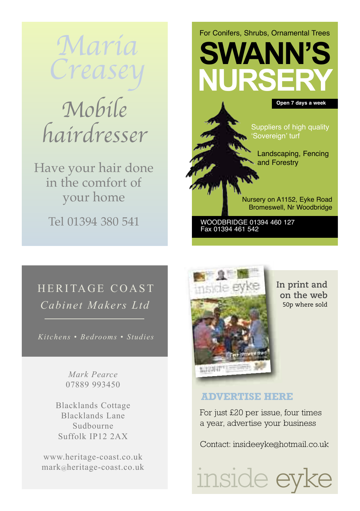Maria Crease

## Mobile hairdresser

Have your hair done in the comfort of your home

Tel 01394 380 541

**SWANN'S NURSEI** Landscaping, Fencing and Forestry Suppliers of high quality 'Sovereign' turf **Open 7 days a week**

For Conifers, Shrubs, Ornamental Trees

Nursery on A1152, Eyke Road Bromeswell, Nr Woodbridge

WOODBRIDGE 01394 460 127 Fax 01394 461 542

### HERITAGE COAST *Cabinet Makers Ltd*

*Kitchens • Bedrooms • Studies*

*Mark Pearce* 07889 993450

Blacklands Cottage Blacklands Lane Sudbourne Suffolk IP12 2AX

www.heritage-coast.co.uk mark@heritage-coast.co.uk



**In print and on the web** 50p where sold

### **ADVERTISE HERE**

For just £20 per issue, four times a year, advertise your business

Contact: insideeyk[e@hotmail.co.uk](mailto:eyke.newsmag@hotmail.co.uk)

inside eyl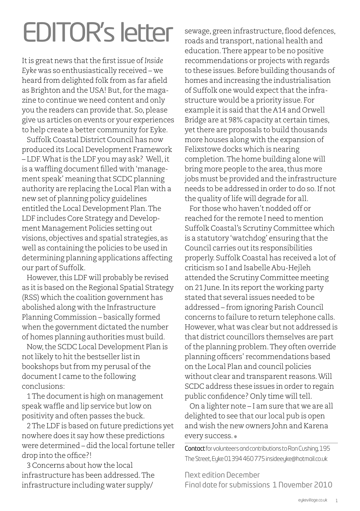## **EDITOR's letter**

It is great news that the first issue of *Inside Eyke* was so enthusiastically received – we heard from delighted folk from as far afield as Brighton and the USA! But, for the magazine to continue we need content and only you the readers can provide that. So, please give us articles on events or your experiences to help create a better community for Eyke.

Suffolk Coastal District Council has now produced its Local Development Framework – LDF.Whatis the LDF you may ask? Well,it is a waffling document filled with'management speak' meaning that SCDC planning authority are replacing the Local Plan with a new set of planning policy guidelines entitled the Local Development Plan.The LDF includes Core Strategy and Development Management Policies setting out visions, objectives and spatial strategies, as well as containing the policies to be used in determining planning applications affecting our part of Suffolk.

However, this LDF will probably be revised as itis based on the Regional Spatial Strategy (RSS) which the coalition government has abolished along with the Infrastructure Planning Commission – basically formed when the government dictated the number of homes planning authorities must build.

Now,the SCDC Local Development Plan is not likely to hit the bestseller list in bookshops but from my perusal of the document I came to the following conclusions:

1The documentis high on management speak waffle and lip service but low on positivity and often passes the buck.

2The LDF is based on future predictions yet nowhere does it say how these predictions were determined - did the local fortune teller drop into the office?!

3 Concerns about how the local infrastructure has been addressed.The infrastructure including water supply/

sewage, green infrastructure, flood defences, roads and transport, national health and education.There appear to be no positive recommendations or projects with regards to these issues. Before building thousands of homes and increasing the industrialisation of Suffolk one would expect that the infrastructure would be a priority issue. For example it is said that the A14 and Orwell Bridge are at 98% capacity at certain times, yet there are proposals to build thousands more houses along with the expansion of Felixstowe docks which is nearing completion.The home building alone will bring more people to the area, thus more jobs must be provided and the infrastructure needs to be addressed in order to do so.If not the quality of life will degrade for all.

For those who haven't nodded off or reached for the remote I need to mention Suffolk Coastal's Scrutiny Committee which is a statutory 'watchdog' ensuring that the Council carries outits responsibilities properly. Suffolk Coastal has received a lot of criticism so I and Isabelle Abu-Hejleh attended the Scrutiny Committee meeting on 21 June. In its report the working party stated that several issues needed to be addressed – from ignoring Parish Council concerns to failure to return telephone calls. However, what was clear but not addressed is that district councillors themselves are part of the planning problem. They often override planning officers' recommendations based on the Local Plan and council policies without clear and transparent reasons.Will SCDC address these issues in order to regain public confidence? Only time will tell.

On a lighter note – I am sure that we are all delighted to see that our local pub is open and wish the new owners John and Karena every success. ✽

Contact for volunteers and contributions to Ron Cushing, 195 The Street, Eyke 01394 460 775 insideeyke@hotmail.co.uk

Next edition December Final date for submissions 1 November 2010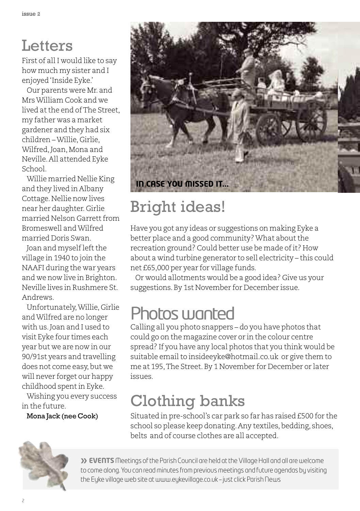## **Letters**

First of all I would like to say how much my sister and I enjoyed'Inside Eyke.'

Our parents were Mr. and MrsWilliam Cook and we lived atthe end ofThe Street, my father was a market gardener and they had six children –Willie, Girlie, Wilfred, Joan, Mona and Neville.All attended Eyke School.

Willie married Nellie King and they lived in Albany Cottage.Nellie now lives near her daughter. Girlie married Nelson Garrett from Bromeswell andWilfred married Doris Swan.

Joan and myself left the village in 1940 to join the NAAFI during the war years and we now live in Brighton. Neville lives in Rushmere St. Andrews.

Unfortunately,Willie, Girlie andWilfred are no longer with us.Joan and I used to visit Eyke four times each year but we are now in our 90/91st years and travelling does not come easy, but we will never forget our happy childhood spentin Eyke.

Wishing you every success in the future.

Mona Jack (nee Cook)



## Bright ideas!

Have you got any ideas or suggestions on making Eyke a better place and a good community? What about the recreation ground? Could better use be made of it? How about a wind turbine generator to sell electricity – this could net £65,000 per year for village funds.

Or would allotments would be a good idea? Give us your suggestions.By 1st November for December issue.

## Photos wanted

Calling all you photo snappers – do you have photos that could go on the magazine cover or in the colour centre spread? If you have any local photos that you think would be suitable email to [insideeyke@hotmail.co.uk](mailto:insideeyke@hotmail.co.uk) or give them to me at 195,The Street.By 1 November for December or later issues.

## Clothing banks

Situated in pre-school's car park so far has raised £500 for the school so please keep donating. Any textiles, bedding, shoes, belts and of course clothes are all accepted.



**» EVENTS** Meetings of the Parish Council are held at the Village Hall and all are welcome to come along. You can read minutes from previous meetings and future agendas by visiting the Eyke village web site at [www.eykevillage.co.uk](http://www.eykevillage.co.uk) – just click Parish News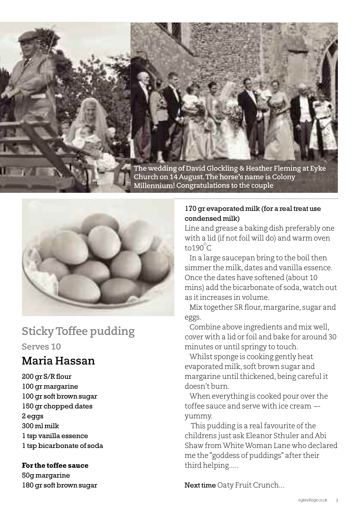



### **StickyToffee pudding Serves 10**

### **Maria Hassan**

 gr S/R flour gr margarine gr soft brown sugar gr chopped dates 2 eggs 300 ml milk tsp vanilla essence tsp bicarbonate of soda

### **For the toffee sauce**

50g margarine 180 gr soft brown sugar

### 170 gr evaporated milk (for a real treat use condensed milk)

Line and grease a baking dish preferably one with a lid (if not foil will do) and warm oven to190 $^{\circ}$ C

In a large saucepan bring to the boil then simmer the milk,dates and vanilla essence. Once the dates have softened (about 10 mins) add the bicarbonate of soda, watch out as itincreases in volume.

Mix together SR flour,margarine, sugar and eggs.

Combine above ingredients and mix well, cover with a lid or foil and bake for around 30 minutes or until springy to touch.

Whilst sponge is cooking gently heat evaporated milk, soft brown sugar and margarine until thickened, being careful it doesn't burn.

When everything is cooked pour over the toffee sauce and serve with ice cream – yummy.

This pudding is a real favourite of the childrens just ask Eleanor Sthuler and Abi Shaw fromWhiteWoman Lane who declared me the "goddess of puddings" after their third helping.....

Next time Oaty Fruit Crunch...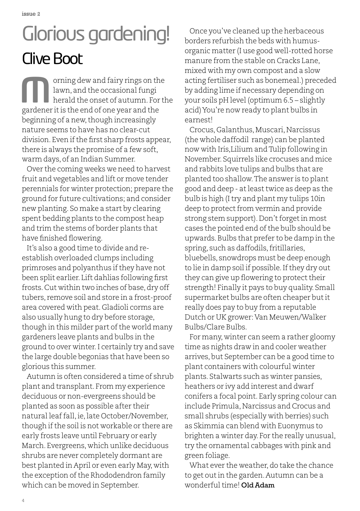issue 2

## Glorious gardening! **Clive Boot**

orning dew and fairy rings on the lawn, and the occasional fungi herald the onset of autumn. For the orning dew and fairy rings on the lawn, and the occasional fungi<br>herald the onset of autumn. For<br>gardener it is the end of one year and the beginning of a new, though increasingly nature seems to have has no clear-cut division. Even if the first sharp frosts appear, there is always the promise of a few soft, warm days, of an Indian Summer.

Over the coming weeks we need to harvest fruit and vegetables and lift or move tender perennials for winter protection; prepare the ground for future cultivations; and consider new planting. So make a start by clearing spent bedding plants to the compost heap and trim the stems of border plants that have finished flowering.

It's also a good time to divide and reestablish overloaded clumps including primroses and polyanthus if they have not been split earlier. Lift dahlias following first frosts. Cut within two inches of base, dry off tubers, remove soil and store in a frost-proof area covered with peat. Gladioli corms are also usually hung to dry before storage, though in this milder part of the world many gardeners leave plants and bulbs in the ground to over winter.I certainly try and save the large double begonias that have been so glorious this summer.

Autumn is often considered a time of shrub plant and transplant. From my experience deciduous or non-evergreens should be planted as soon as possible after their natural leaffall,ie,late October/November, though if the soil is not workable or there are early frosts leave until February or early March. Evergreens, which unlike deciduous shrubs are never completely dormant are best planted in April or even early May, with the exception of the Rhododendron family which can be moved in September.

Once you've cleaned up the herbaceous borders refurbish the beds with humusorganic matter (I use good well-rotted horse manure from the stable on Cracks Lane, mixed with my own compost and a slow acting fertiliser such as bonemeal.) preceded by adding lime if necessary depending on your soils pH level (optimum 6.5 – slightly acid)You're now ready to plant bulbs in earnest!

Crocus, Galanthus, Muscari, Narcissus (the whole daffodil range) can be planted now with Iris,Lilium andTulip following in November. Squirrels like crocuses and mice and rabbits love tulips and bulbs that are planted too shallow.The answer is to plant good and deep - atleasttwice as deep as the bulb is high (Itry and plant my tulips 10in deep to protect from vermin and provide strong stem support). Don't forget in most cases the pointed end of the bulb should be upwards.Bulbs that prefer to be damp in the spring, such as daffodils, fritillaries, bluebells, snowdrops must be deep enough to lie in damp soil if possible. If they dry out they can give up flowering to protect their strength! Finally it pays to buy quality. Small supermarket bulbs are often cheaper butit really does pay to buy from a reputable Dutch or UK grower: Van Meuwen/Walker Bulbs/Clare Bulbs.

For many, winter can seem a rather gloomy time as nights draw in and cooler weather arrives,but September can be a good time to plant containers with colourful winter plants. Stalwarts such as winter pansies, heathers or ivy add interest and dwarf conifers a focal point. Early spring colour can include Primula,Narcissus and Crocus and small shrubs (especially with berries) such as Skimmia can blend with Euonymus to brighten a winter day. For the really unusual, try the ornamental cabbages with pink and green foliage.

What ever the weather, do take the chance to get outin the garden.Autumn can be a wonderful time! Old Adam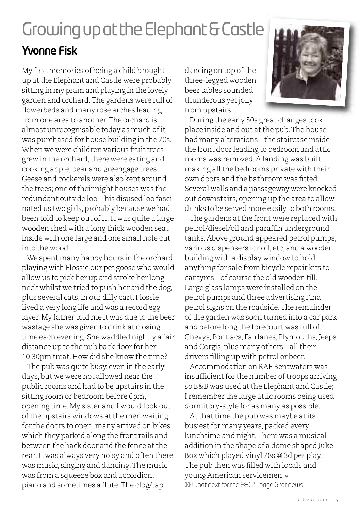## GrowingupattheElephant&Castle **Yvonne Fisk**

My first memories of being a child brought up atthe Elephant and Castle were probably sitting in my pram and playing in the lovely garden and orchard.The gardens were full of flowerbeds and many rose arches leading from one area to another.The orchard is almost unrecognisable today as much ofit was purchased for house building in the 70s. When we were children various fruit trees grew in the orchard, there were eating and cooking apple, pear and greengage trees. Geese and cockerels were also kept around the trees; one of their night houses was the redundant outside loo.This disused loo fascinated us two girls, probably because we had been told to keep out of it! It was quite a large wooden shed with a long thick wooden seat inside with one large and one small hole cut into the wood.

We spent many happy hours in the orchard playing with Flossie our pet goose who would allow us to pick her up and stroke her long neck whilst we tried to push her and the dog, plus several cats,in our dilly cart. Flossie lived a very long life and was a record egg layer.My father told me it was due to the beer wastage she was given to drink at closing time each evening. She waddled nightly a fair distance up to the pub back door for her 10.30pm treat.How did she know the time?

The pub was quite busy, even in the early days, but we were not allowed near the public rooms and had to be upstairs in the sitting room or bedroom before 6pm, opening time.My sister and I would look out of the upstairs windows at the men waiting for the doors to open; many arrived on bikes which they parked along the front rails and between the back door and the fence atthe rear.It was always very noisy and often there was music, singing and dancing.The music was from a squeeze box and accordion, piano and sometimes a flute.The clog/tap

dancing on top of the three-legged wooden beer tables sounded thunderous yet jolly from upstairs.

During the early 50s great changes took place inside and out atthe pub.The house had many alterations – the staircase inside the front door leading to bedroom and attic rooms was removed.A landing was built making all the bedrooms private with their own doors and the bathroom was fitted. Several walls and a passageway were knocked out downstairs, opening up the area to allow drinks to be served more easily to both rooms.

The gardens at the front were replaced with petrol/diesel/oil and paraffin underground tanks.Above ground appeared petrol pumps, various dispensers for oil, etc, and a wooden building with a display window to hold anything for sale from bicycle repair kits to car tyres – of course the old wooden till. Large glass lamps were installed on the petrol pumps and three advertising Fina petrol signs on the roadside.The remainder ofthe garden was soon turned into a car park and before long the forecourt was full of Chevys, Pontiacs, Fairlanes, Plymouths,Jeeps and Corgis, plus many others - all their drivers filling up with petrol or beer.

Accommodation on RAF Bentwaters was insufficient for the number of troops arriving so B&B was used at the Elephant and Castle; I remember the large attic rooms being used dormitory-style for as many as possible.

At that time the pub was maybe at its busiest for many years, packed every lunchtime and night.There was a musical addition in the shape of a dome shaped Juke Box which played vinyl 78s @ 3d per play. The pub then was filled with locals and young American servicemen. ✽ **»** What nextforthe E&C? – page 6 for news!

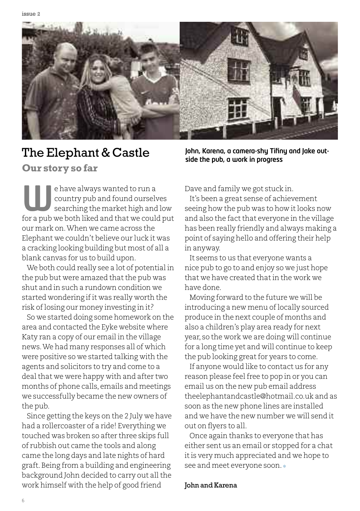

### The Elephant & Castle

### **Our story so far**

e have always wanted to run a country pub and found ourselves searching the market high and low **e** have always wanted to run a<br>country pub and found ourselves<br>searching the market high and low<br>for a pub we both liked and that we could put our mark on.When we came across the Elephant we couldn't believe our luck it was a cracking looking building but most of all a blank canvas for us to build upon.

We both could really see a lot of potential in the pub but were amazed that the pub was shut and in such a rundown condition we started wondering if it was really worth the risk oflosing our money investing in it?

So we started doing some homework on the area and contacted the Eyke website where Katy ran a copy of our email in the village news.We had many responses all of which were positive so we started talking with the agents and solicitors to try and come to a deal that we were happy with and after two months of phone calls, emails and meetings we successfully became the new owners of the pub.

Since getting the keys on the 2 July we have had a rollercoaster of a ride! Everything we touched was broken so after three skips full of rubbish out came the tools and along came the long days and late nights of hard graft.Being from a building and engineering background John decided to carry out all the work himself with the help of good friend

**John, Karena, a camera-shy Tifiny and Jake outside the pub, a work in progress**

Dave and family we got stuck in.

It's been a great sense of achievement seeing how the pub was to how it looks now and also the fact that everyone in the village has been really friendly and always making a point of saying hello and offering their help in anyway.

It seems to us that everyone wants a nice pub to go to and enjoy so we just hope that we have created thatin the work we have done.

Moving forward to the future we will be introducing a new menu oflocally sourced produce in the next couple of months and also a children's play area ready for next year, so the work we are doing will continue for a long time yet and will continue to keep the pub looking great for years to come.

If anyone would like to contact us for any reason please feel free to pop in or you can email us on the new pub email address [theelephantandcastle@hotmail.co.uk](mailto:theelephantandcastle@hotmail.co.uk) and as soon as the new phone lines are installed and we have the new number we will send it out on flyers to all.

Once again thanks to everyone that has either sent us an email or stopped for a chat itis very much appreciated and we hope to see and meet everyone soon.  $\ast$ 

### John and Karena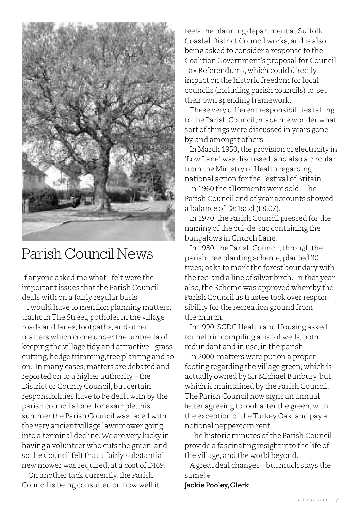

### Parish Council News

If anyone asked me what I felt were the important issues that the Parish Council deals with on a fairly regular basis,

I would have to mention planning matters, traffic in The Street, potholes in the village roads and lanes, footpaths, and other matters which come under the umbrella of keeping the village tidy and attractive - grass cutting, hedge trimming, tree planting and so on. In many cases,matters are debated and reported on to a higher authority – the District or County Council, but certain responsibilities have to be dealt with by the parish council alone: for example, this summer the Parish Council was faced with the very ancient village lawnmower going into a terminal decline.We are very lucky in having a volunteer who cuts the green, and so the Council felt that a fairly substantial new mower was required, at a cost of £469.

On another tack,currently,the Parish Council is being consulted on how well it

feels the planning department at Suffolk Coastal District Council works, and is also being asked to consider a response to the Coalition Government's proposalfor Council Tax Referendums, which could directly impact on the historic freedom for local councils (including parish councils) to set their own spending framework.

These very different responsibilities falling to the Parish Council, made me wonder what sort of things were discussed in years gone by, and amongst others...

In March 1950, the provision of electricity in 'Low Lane' was discussed, and also a circular from the Ministry of Health regarding national action for the Festival of Britain.

In 1960 the allotments were sold. The Parish Council end of year accounts showed a balance of £8:1s:5d (£8.07).

In 1970, the Parish Council pressed for the naming ofthe cul-de-sac containing the bungalows in Church Lane.

In 1980, the Parish Council, through the parish tree planting scheme, planted 30 trees; oaks to mark the forest boundary with the rec. and a line of silver birch. In that year also, the Scheme was approved whereby the Parish Council as trustee took over responsibility for the recreation ground from the church.

In 1990, SCDC Health and Housing asked for help in compiling a list of wells, both redundant and in use, in the parish.

In 2000, matters were put on a proper footing regarding the village green, which is actually owned by Sir Michael Bunbury, but which is maintained by the Parish Council. The Parish Council now signs an annual letter agreeing to look after the green, with the exception of the Turkey Oak, and pay a notional peppercorn rent.

The historic minutes of the Parish Council provide a fascinating insight into the life of the village, and the world beyond.

A great deal changes – but much stays the same! ✽

### Jackie Pooley,Clerk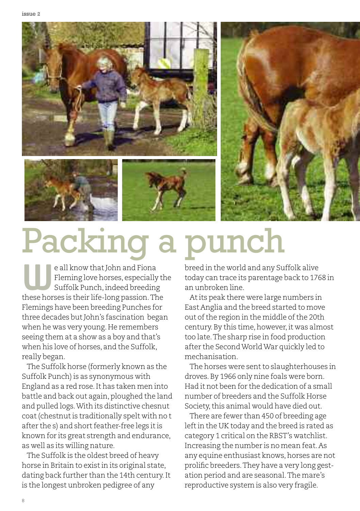issue 2





## Packing a punch

e all know that John and Fiona Fleming love horses, especially the Suffolk Punch, indeed breeding **Example 18 and School School School School School Suffolk Punch, indeed breeding these horses is their life-long passion. The** Flemings have been breeding Punches for three decades but John's fascination began when he was very young. He remembers seeing them at a show as a boy and that's when his love of horses, and the Suffolk, really began.

The Suffolk horse (formerly known as the Suffolk Punch) is as synonymous with England as a red rose.It has taken men into battle and back out again, ploughed the land and pulled logs.With its distinctive chesnut coat(chestnutis traditionally spelt with no t after the s) and short feather-free legs it is known for its great strength and endurance, as well as its willing nature.

The Suffolk is the oldest breed of heavy horse in Britain to existin its original state, dating back further than the 14th century.It is the longest unbroken pedigree of any

breed in the world and any Suffolk alive today can trace its parentage back to 1768 in an unbroken line.

Atits peak there were large numbers in East Anglia and the breed started to move out of the region in the middle of the 20th century. By this time, however, it was almost too late.The sharp rise in food production after the SecondWorldWar quickly led to mechanisation.

The horses were sent to slaughterhouses in droves.By 1966 only nine foals were born. Had it not been for the dedication of a small number of breeders and the Suffolk Horse Society, this animal would have died out.

There are fewer than 450 of breeding age left in the UK today and the breed is rated as category 1 critical on the RBST's watchlist. Increasing the number is no mean feat.As any equine enthusiast knows, horses are not prolific breeders.They have a very long gestation period and are seasonal.The mare's reproductive system is also very fragile.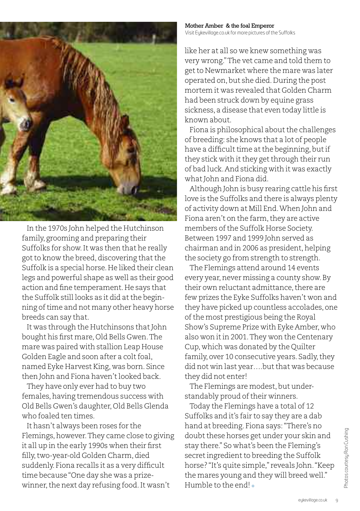

In the 1970s John helped the Hutchinson family, grooming and preparing their Suffolks for show.It was then that he really got to know the breed, discovering that the Suffolk is a special horse. He liked their clean legs and powerful shape as well as their good action and fine temperament.He says that the Suffolk still looks as it did at the beginning of time and not many other heavy horse breeds can say that.

It was through the Hutchinsons that John bought his first mare, Old Bells Gwen. The mare was paired with stallion Leap House Golden Eagle and soon after a colt foal, named Eyke Harvest King, was born. Since then John and Fiona haven'tlooked back.

They have only ever had to buy two females, having tremendous success with Old Bells Gwen's daughter, Old Bells Glenda who foaled ten times.

It hasn't always been roses for the Flemings,however.They came close to giving it all up in the early 1990s when their first filly, two-year-old Golden Charm, died suddenly. Fiona recalls it as a very difficult time because"One day she was a prizewinner, the next day refusing food. It wasn't

Mother Amber & the foal Emperor Visit [Eykevillage.co.uk](http://www.eykevillage.co.uk) for more pictures ofthe Suffolks

like her at all so we knew something was very wrong."The vet came and told them to getto Newmarket where the mare was later operated on,but she died.During the post mortem it was revealed that Golden Charm had been struck down by equine grass sickness, a disease that even today little is known about.

Fiona is philosophical about the challenges of breeding: she knows that a lot of people have a difficult time at the beginning, but if they stick with it they get through their run of bad luck.And sticking with it was exactly what John and Fiona did.

Although John is busy rearing cattle his first love is the Suffolks and there is always plenty of activity down at Mill End.When John and Fiona aren't on the farm, they are active members of the Suffolk Horse Society. Between 1997 and 1999 John served as chairman and in 2006 as president, helping the society go from strength to strength.

The Flemings attend around 14 events every year, never missing a county show. By their own reluctant admittance, there are few prizes the Eyke Suffolks haven't won and they have picked up countless accolades, one of the most prestigious being the Royal Show's Supreme Prize with Eyke Amber, who also won it in 2001. They won the Centenary Cup, which was donated by the Quilter family, over 10 consecutive years. Sadly, they did not win last year....but that was because they did not enter!

The Flemings are modest, but understandably proud of their winners.

Today the Flemings have a total of 12 Suffolks and it's fair to say they are a dab hand at breeding. Fiona says:"There's no doubt these horses get under your skin and stay there." So what's been the Fleming's secret ingredient to breeding the Suffolk horse? "It's quite simple," reveals John."Keep the mares young and they will breed well." Humble to the end! ✽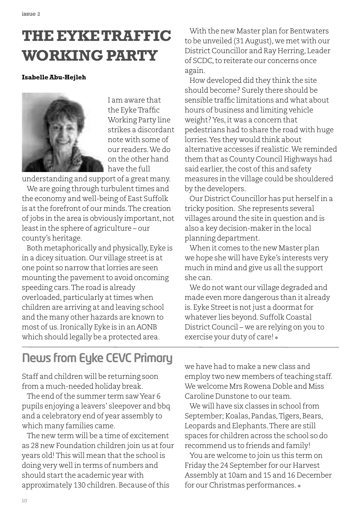## **THEEYKETRAFFIC WORKING PARTY**

#### **IsabelleAbu-Hejleh**



I am aware that the EykeTraffic Working Party line strikes a discordant note with some of our readers.We do on the other hand have the full

understanding and support of a great many.

We are going through turbulent times and the economy and well-being of East Suffolk is atthe forefront of our minds.The creation of jobs in the area is obviously important, not leastin the sphere of agriculture – our county's heritage.

Both metaphorically and physically, Eyke is in a dicey situation. Our village street is at one point so narrow that lorries are seen mounting the pavement to avoid oncoming speeding cars.The road is already overloaded, particularly at times when children are arriving at and leaving school and the many other hazards are known to most of us.Ironically Eyke is in an AONB which should legally be a protected area.

With the new Master plan for Bentwaters to be unveiled (31 August), we met with our District Councillor and Ray Herring, Leader of SCDC, to reiterate our concerns once again.

How developed did they think the site should become? Surely there should be sensible traffic limitations and what about hours of business and limiting vehicle weight?Yes,it was a concern that pedestrians had to share the road with huge lorries.Yes they would think about alternative accesses if realistic.We reminded them that as County Council Highways had said earlier, the cost of this and safety measures in the village could be shouldered by the developers.

Our District Councillor has put herselfin a tricky position. She represents several villages around the site in question and is also a key decision-maker in the local planning department.

When it comes to the new Master plan we hope she will have Eyke's interests very much in mind and give us all the support she can.

We do not want our village degraded and made even more dangerous than it already is. Eyke Street is not just a doormat for whatever lies beyond. Suffolk Coastal District Council – we are relying on you to exercise your duty of care! ✽

### **News from Eyke CEVC Primary**

Staff and children will be returning soon from a much-needed holiday break.

The end of the summer term saw Year 6 pupils enjoying a leavers' sleepover and bbq and a celebratory end of year assembly to which many families came.

The new term will be a time of excitement as 28 new Foundation children join us at four years old! This will mean that the school is doing very well in terms of numbers and should start the academic year with approximately 130 children. Because of this

we have had to make a new class and employ two new members of teaching staff. We welcome Mrs Rowena Doble and Miss Caroline Dunstone to our team.

We will have six classes in school from September; Koalas, Pandas, Tigers, Bears, Leopards and Elephants.There are still spaces for children across the school so do recommend us to friends and family!

You are welcome to join us this term on Friday the 24 September for our Harvest Assembly at 10am and 15 and 16 December for our Christmas performances. ✽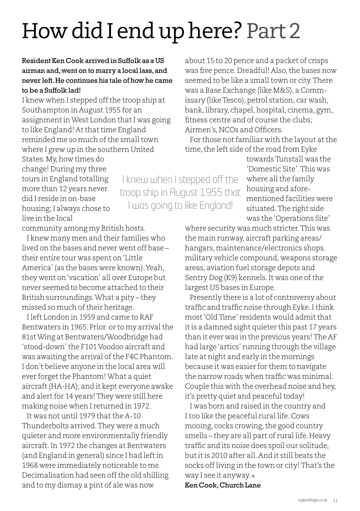## How did I end up here? Part 2

### Resident Ken Cook arrived in Suffolk as aUS airman and,went on to marry a local lass,and never left.He continues his tale of how he came to be a Suffolk lad!

I knew when I stepped off the troop ship at Southampton in August 1955 for an assignmentinWest London thatI was going to like England! At that time England reminded me so much of the small town where I grew up in the southern United

States.My,how times do change! During my three tours in England totalling more than 12 years never did I reside in on-base housing; I always chose to live in the local

I knew when I stepped off the troop ship in August 1955 that I was going to like England!

about 15 to 20 pence and a packet of crisps was five pence. Dreadful! Also, the bases now seemed to be like a small town or city. There was a Base Exchange (like M&S), a Commissary (like Tesco), petrol station, car wash, bank,library, chapel,hospital, cinema, gym, fitness centre and of course the clubs; Airmen's,NCOs and Officers.

For those not familiar with the layout at the time, the left side of the road from Eyke

> towardsTunstall was the 'Domestic Site'.This was where all the family housing and aforementioned facilities were situated.The right side was the'Operations Site'

community among my British hosts.

I knew many men and their families who lived on the bases and never went off base – their entire tour was spent on'Little America' (as the bases were known).Yeah, they went on'vacation' all over Europe but never seemed to become attached to their British surroundings.What a pity – they missed so much of their heritage.

I left London in 1959 and came to RAF Bentwaters in 1965. Prior or to my arrival the 81stWing at Bentwaters/Woodbridge had 'stood-down'the F101 Voodoo aircraft and was awaiting the arrival of the F4C Phantom. I don't believe anyone in the local area will ever forget the Phantom! What a quiet aircraft(HA-HA); and it kept everyone awake and alert for 14 years! They were still here making noise when I returned in 1972.

It was not until 1979 that the A-10 Thunderbolts arrived.They were a much quieter and more environmentally friendly aircraft.In 1972 the changes at Bentwaters (and England in general) since I had leftin 1968 were immediately noticeable to me. Decimalisation had seen off the old shilling and to my dismay a pint of ale was now

where security was much stricter.This was the main runway, aircraft parking areas/ hangars,maintenance/electronics shops. military vehicle compound, weapons storage areas, aviation fuel storage depots and Sentry Dog (K9) kennels. It was one of the largest US bases in Europe.

Presently there is a lot of controversy about traffic and traffic noise through Eyke. I think most 'Old Time' residents would admit that it is a damned sight quieter this past 17 years than it ever was in the previous years!The AF had large'artics' running through the village late at night and early in the mornings because it was easier for them to navigate the narrow roads when traffic was minimal. Couple this with the overhead noise and hey, it's pretty quiet and peaceful today!

I was born and raised in the country and Itoo like the peaceful rural life.Cows mooing, cocks crowing, the good country smells – they are all part of rural life. Heavy traffic and its noise does spoil our solitude, butitis 2010 after all.And it still beats the socks offliving in the town or city!That's the way I see it anyway. ✽

### Ken Cook,Church Lane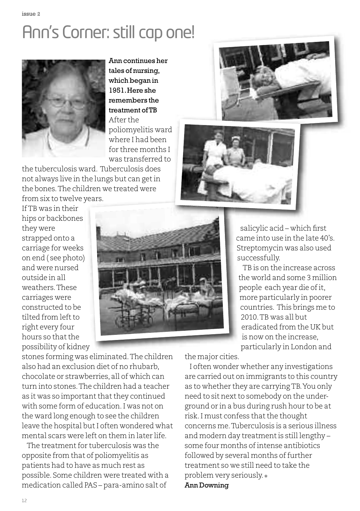## Ann's Corner: still cap one!



Ann continues her tales of nursing, which began in 1951.Here she remembers the treatment ofTB After the poliomyelitis ward where I had been for three months I was transferred to

the tuberculosis ward. Tuberculosis does not always live in the lungs but can getin the bones.The children we treated were

from six to twelve years. IfTB was in their hips or backbones they were strapped onto a carriage for weeks on end ( see photo) and were nursed outside in all weathers.These carriages were constructed to be tilted from left to right every four hours so that the possibility of kidney







salicylic acid – which first came into use in the late 40's. Streptomycin was also used successfully.

TB is on the increase across the world and some 3 million people each year die of it, more particularly in poorer countries. This brings me to 2010.TB was all but eradicated from the UK but is now on the increase, particularly in London and

stones forming was eliminated.The children also had an exclusion diet of no rhubarb, chocolate or strawberries, all of which can turn into stones.The children had a teacher as it was so important that they continued with some form of education.I was not on the ward long enough to see the children leave the hospital but I often wondered what mental scars were left on them in later life.

The treatment for tuberculosis was the opposite from that of poliomyelitis as patients had to have as much rest as possible. Some children were treated with a medication called PAS – para-amino salt of

the major cities.

I often wonder whether any investigations are carried out on immigrants to this country as to whether they are carryingTB.You only need to sit next to somebody on the underground or in a bus during rush hour to be at risk. I must confess that the thought concerns me.Tuberculosis is a serious illness and modern day treatmentis still lengthy – some four months of intense antibiotics followed by several months of further treatment so we still need to take the problem very seriously. ✽ Ann Downing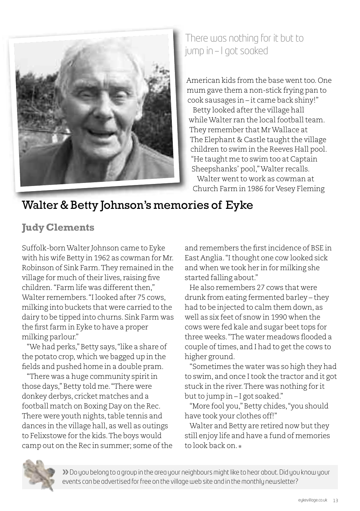

### There was nothing for it but to jump in –I got soaked

American kids from the base went too. One mum gave them a non-stick frying pan to cook sausages in – it came back shiny!"

Betty looked after the village hall while Walter ran the local football team. They remember that MrWallace at The Elephant & Castle taught the village children to swim in the Reeves Hall pool. "He taught me to swim too at Captain Sheepshanks' pool,"Walter recalls. Walter went to work as cowman at Church Farm in 1986 for Vesey Fleming

### Walter & Betty Johnson's memories of Eyke

### **Judy Clements**

Suffolk-bornWalter Johnson came to Eyke with his wife Betty in 1962 as cowman for Mr. Robinson of Sink Farm.They remained in the village for much of their lives, raising five children. "Farm life was different then." Walter remembers."I looked after 75 cows, milking into buckets that were carried to the dairy to be tipped into churns. Sink Farm was the first farm in Eyke to have a proper milking parlour."

"We had perks," Betty says, "like a share of the potato crop, which we bagged up in the fields and pushed home in a double pram.

"There was a huge community spiritin those days,"Betty told me."There were donkey derbys, cricket matches and a football match on Boxing Day on the Rec. There were youth nights, table tennis and dances in the village hall, as well as outings to Felixstowe for the kids.The boys would camp out on the Rec in summer; some of the

and remembers the firstincidence of BSE in East Anglia."Ithought one cow looked sick and when we took her in for milking she started falling about."

He also remembers 27 cows that were drunk from eating fermented barley – they had to be injected to calm them down, as well as six feet of snow in 1990 when the cows were fed kale and sugar beet tops for three weeks."The water meadows flooded a couple oftimes, and I had to getthe cows to higher ground.

"Sometimes the water was so high they had to swim, and once Itook the tractor and it got stuck in the river.There was nothing for it but to jump in – I got soaked."

"More fool you," Betty chides, "you should have took your clothes off!"

Walter and Betty are retired now but they still enjoy life and have a fund of memories to look back on.



**»**Do you belong to a group in the area your neighbours mightlike to hear about.Did you know your events can be advertised for free on the village web site and in the monthly newsletter?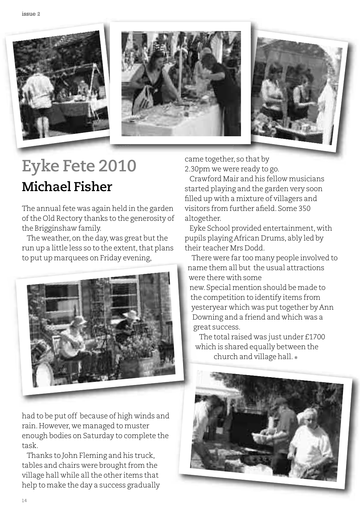





## **Eyke Fete 2010 Michael Fisher**

The annual fete was again held in the garden ofthe Old Rectory thanks to the generosity of the Brigginshaw family.

The weather, on the day, was great but the run up a little less so to the extent, that plans to put up marquees on Friday evening,



had to be put off because of high winds and rain.However, we managed to muster enough bodies on Saturday to complete the task.

Thanks to John Fleming and his truck, tables and chairs were brought from the village hall while all the other items that help to make the day a success gradually came together, so that by 2.30pm we were ready to go.

Crawford Mair and his fellow musicians started playing and the garden very soon filled up with a mixture of villagers and visitors from further afield. Some 350 altogether.

Eyke School provided entertainment, with pupils playing African Drums, ably led by their teacher Mrs Dodd.

There were far too many people involved to name them all but the usual attractions were there with some new. Special mention should be made to the competition to identify items from yesteryear which was put together by Ann Downing and a friend and which was a great success.

The total raised was just under £1700 which is shared equally between the church and village hall. ✽

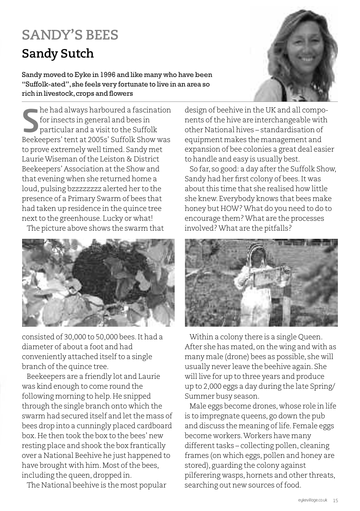## **SANDY'S BEES Sandy Sutch**

Sandy moved to Eyke in 1996 and like many who have been "Suffolk-ated",she feels very fortunate to live in an area so rich in livestock, crops and flowers

he had always harboured a fascination for insects in general and bees in particular and a visit to the Suffolk **S** he had always harboured a fascination<br>for insects in general and bees in<br>particular and a visit to the Suffolk<br>Beekeepers' tent at 2005s' Suffolk Show was to prove extremely well timed. Sandy met LaurieWiseman ofthe Leiston & District Beekeepers' Association atthe Show and that evening when she returned home a loud,pulsing bzzzzzzzz alerted her to the presence of a Primary Swarm of bees that had taken up residence in the quince tree next to the greenhouse. Lucky or what!

The picture above shows the swarm that



consisted of 30,000 to 50,000 bees.It had a diameter of about a foot and had conveniently attached itself to a single branch of the quince tree.

Beekeepers are a friendly lot and Laurie was kind enough to come round the following morning to help. He snipped through the single branch onto which the swarm had secured itself and let the mass of bees drop into a cunningly placed cardboard box.He then took the box to the bees' new resting place and shook the box frantically over a National Beehive he just happened to have brought with him. Most of the bees, including the queen, dropped in.

The National beehive is the most popular



design of beehive in the UK and all components ofthe hive are interchangeable with other National hives – standardisation of equipment makes the management and expansion of bee colonies a great deal easier to handle and easy is usually best.

So far, so good: a day after the Suffolk Show, Sandy had her first colony of bees. It was about this time that she realised how little she knew. Everybody knows that bees make honey but HOW?What do you need to do to encourage them?What are the processes involved?What are the pitfalls?



Within a colony there is a single Queen. After she has mated, on the wing and with as many male (drone) bees as possible, she will usually never leave the beehive again. She will live for up to three years and produce up to 2,000 eggs a day during the late Spring/ Summer busy season.

Male eggs become drones, whose role in life is to impregnate queens, go down the pub and discuss the meaning of life. Female eggs become workers.Workers have many different tasks – collecting pollen, cleaning frames (on which eggs, pollen and honey are stored), guarding the colony against pilferering wasps, hornets and other threats, searching out new sources of food.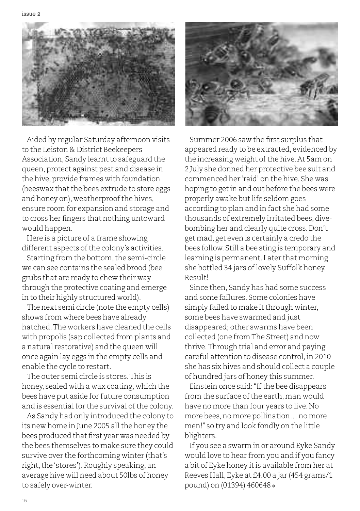

Aided by regular Saturday afternoon visits to the Leiston & District Beekeepers Association, Sandy learnt to safeguard the queen,protect against pest and disease in the hive, provide frames with foundation (beeswax that the bees extrude to store eggs and honey on), weatherproof the hives, ensure room for expansion and storage and to cross her fingers that nothing untoward would happen.

Here is a picture of a frame showing different aspects of the colony's activities.

Starting from the bottom, the semi-circle we can see contains the sealed brood (bee grubs that are ready to chew their way through the protective coating and emerge in to their highly structured world).

The next semi circle (note the empty cells) shows from where bees have already hatched.The workers have cleaned the cells with propolis (sap collected from plants and a natural restorative) and the queen will once again lay eggs in the empty cells and enable the cycle to restart.

The outer semi circle is stores.This is honey, sealed with a wax coating, which the bees have put aside for future consumption and is essential for the survival of the colony.

As Sandy had only introduced the colony to its new home in June 2005 all the honey the bees produced that first year was needed by the bees themselves to make sure they could survive over the forthcoming winter (that's right, the 'stores'). Roughly speaking, an average hive will need about 50lbs of honey to safely over-winter.



Summer 2006 saw the first surplus that appeared ready to be extracted, evidenced by the increasing weight of the hive. At 5am on 2 July she donned her protective bee suit and commenced her 'raid' on the hive. She was hoping to getin and out before the bees were properly awake but life seldom goes according to plan and in fact she had some thousands of extremely irritated bees, divebombing her and clearly quite cross.Don't get mad, get even is certainly a credo the bees follow. Still a bee sting is temporary and learning is permanent. Later that morning she bottled 34 jars of lovely Suffolk honey. Result!

Since then, Sandy has had some success and some failures. Some colonies have simply failed to make it through winter, some bees have swarmed and just disappeared; other swarms have been collected (one fromThe Street) and now thrive.Through trial and error and paying careful attention to disease control,in 2010 she has six hives and should collect a couple of hundred jars of honey this summer.

Einstein once said: "If the bee disappears from the surface of the earth, man would have no more than four years to live.No more bees,no more pollination… no more men!" so try and look fondly on the little blighters.

If you see a swarm in or around Eyke Sandy would love to hear from you and if you fancy a bit of Eyke honey itis available from her at Reeves Hall, Eyke at £4.00 a jar (454 grams/1 pound) on (01394) 460648 ✽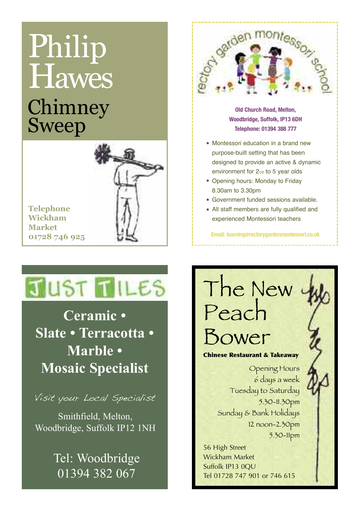## Chimney Sweep Philip **Hawes**



**Telephone Wickham Market 01728 746 925**

JUST **TILES** 

Mosaic Specialist **Mosaic Specialist Ceramic • Slate • Terracotta • Marble •**

.<br>Visit your Local Specialist

**and Smithfield, Melton,** Woodbridge, Suffolk IP12 1NH

> Tel: Woodbridge 01394 382 067



**Old Church Road, Melton, Woodbridge, Suffolk, IP13 6DH Telephone: 01394 388 777**

- Montessori education in a brand new purpose-built setting that has been designed to provide an active & dynamic environment for 2<sup>1/2</sup> to 5 year olds
- Opening hours: Monday to Friday 8.30am to 3.30pm
- Government funded sessions available. •
- All staff members are fully qualified and experienced Montessori teachers

**Email: [learning@rectorygardenmontessori.co.uk](mailto:learning@rectorygardenmontessori.co.uk)**



Wickham Market Suffolk IP13 0QU Tel 01728 747 901 or 746 615